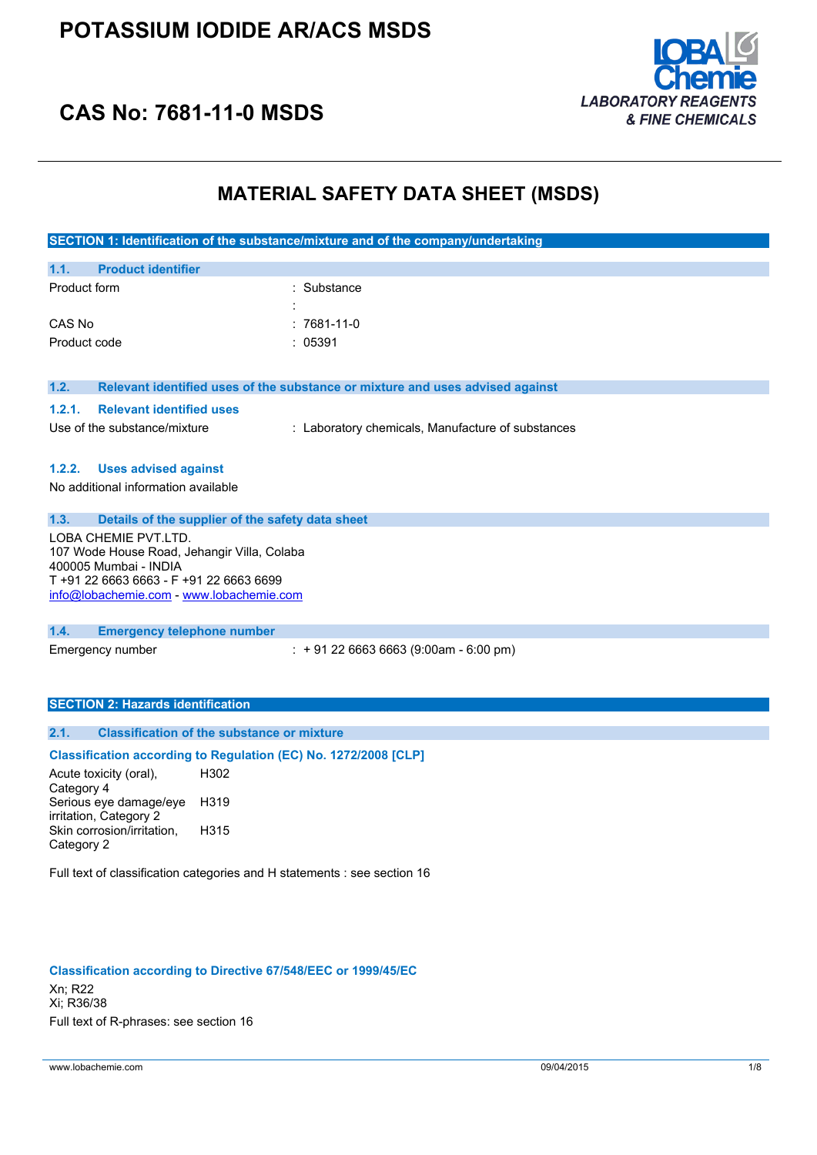

## **CAS No: 7681-11-0 MSDS**

### **MATERIAL SAFETY DATA SHEET (MSDS)**

|                                                                                                                                                                                     | SECTION 1: Identification of the substance/mixture and of the company/undertaking |  |
|-------------------------------------------------------------------------------------------------------------------------------------------------------------------------------------|-----------------------------------------------------------------------------------|--|
| <b>Product identifier</b><br>1.1.                                                                                                                                                   |                                                                                   |  |
| Product form                                                                                                                                                                        | Substance                                                                         |  |
| CAS No                                                                                                                                                                              | 7681-11-0                                                                         |  |
| Product code                                                                                                                                                                        | : 05391                                                                           |  |
| 1.2.                                                                                                                                                                                | Relevant identified uses of the substance or mixture and uses advised against     |  |
| <b>Relevant identified uses</b><br>1.2.1.                                                                                                                                           |                                                                                   |  |
| Use of the substance/mixture                                                                                                                                                        | : Laboratory chemicals, Manufacture of substances                                 |  |
|                                                                                                                                                                                     |                                                                                   |  |
| 1.2.2.<br><b>Uses advised against</b>                                                                                                                                               |                                                                                   |  |
| No additional information available                                                                                                                                                 |                                                                                   |  |
|                                                                                                                                                                                     |                                                                                   |  |
| Details of the supplier of the safety data sheet<br>1.3.                                                                                                                            |                                                                                   |  |
| LOBA CHEMIE PVT.LTD.<br>107 Wode House Road, Jehangir Villa, Colaba<br>400005 Mumbai - INDIA<br>T +91 22 6663 6663 - F +91 22 6663 6699<br>info@lobachemie.com - www.lobachemie.com |                                                                                   |  |
|                                                                                                                                                                                     |                                                                                   |  |
| 1.4.<br><b>Emergency telephone number</b>                                                                                                                                           |                                                                                   |  |
| Emergency number                                                                                                                                                                    | $: +912266636663(9:00am - 6:00 pm)$                                               |  |
|                                                                                                                                                                                     |                                                                                   |  |
| <b>SECTION 2: Hazards identification</b>                                                                                                                                            |                                                                                   |  |
| <b>Classification of the substance or mixture</b><br>2.1.                                                                                                                           |                                                                                   |  |
| Classification according to Regulation (EC) No. 1272/2008 [CLP]                                                                                                                     |                                                                                   |  |
| H302<br>Acute toxicity (oral),                                                                                                                                                      |                                                                                   |  |
| Category 4                                                                                                                                                                          |                                                                                   |  |
| Serious eye damage/eye<br>H319                                                                                                                                                      |                                                                                   |  |

Category 2 Full text of classification categories and H statements : see section 16

H315

#### **Classification according to Directive 67/548/EEC or 1999/45/EC**

Xn; R22 Xi; R36/38 Full text of R-phrases: see section 16

irritation, Category 2

Skin corrosion/irritation,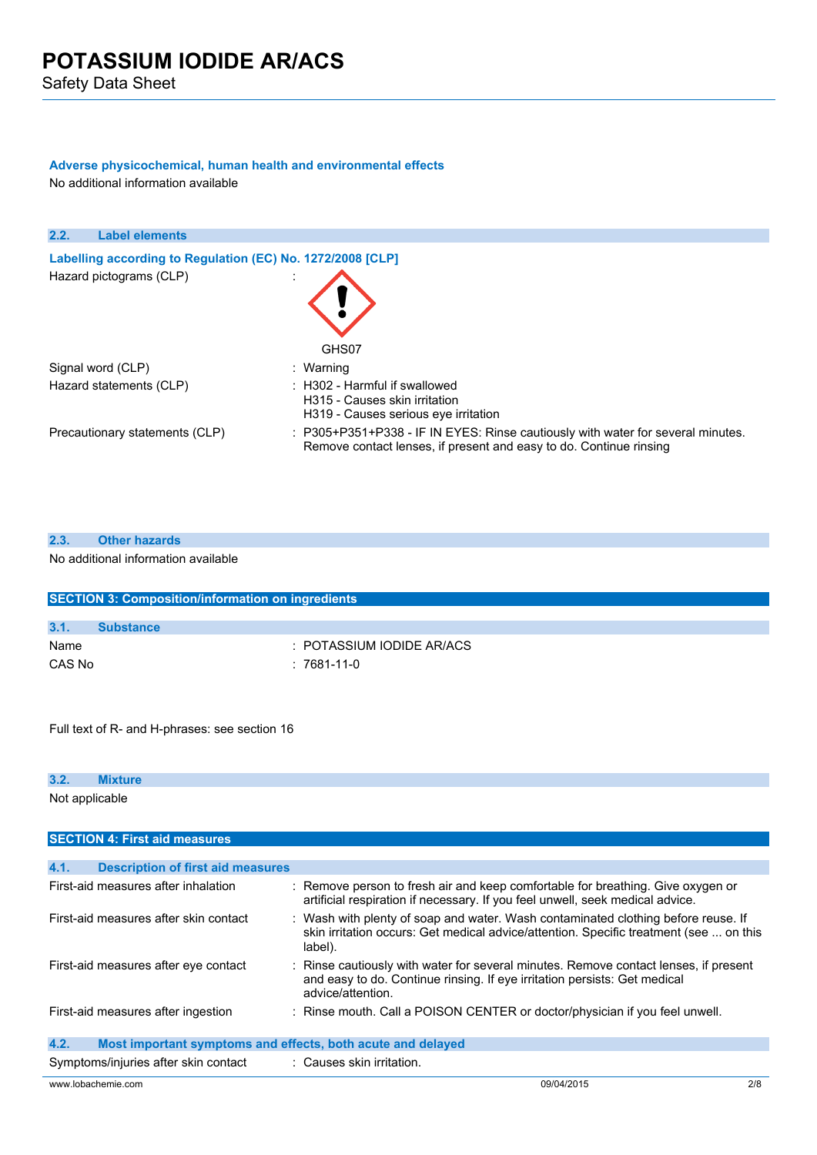### **Adverse physicochemical, human health and environmental effects**

No additional information available

| 2.2.<br><b>Label elements</b>                              |                                                                                                                                                       |
|------------------------------------------------------------|-------------------------------------------------------------------------------------------------------------------------------------------------------|
| Labelling according to Regulation (EC) No. 1272/2008 [CLP] |                                                                                                                                                       |
| Hazard pictograms (CLP)                                    | GHS07                                                                                                                                                 |
| Signal word (CLP)                                          | : Warning                                                                                                                                             |
| Hazard statements (CLP)                                    | : H302 - Harmful if swallowed<br>H315 - Causes skin irritation<br>H319 - Causes serious eve irritation                                                |
| Precautionary statements (CLP)                             | : P305+P351+P338 - IF IN EYES: Rinse cautiously with water for several minutes.<br>Remove contact lenses, if present and easy to do. Continue rinsing |

| 2.3. | <b>Other hazards</b>                                     |
|------|----------------------------------------------------------|
|      | No additional information available                      |
|      |                                                          |
|      |                                                          |
|      | <b>SECTION 3: Composition/information on ingredients</b> |

|        | <u>1989 - 1990 - 1991 - 1991 - 1992 - 1993 - 1993 - 1994 - 1994 - 1994 - 1994 - 1994 - 1994 - 1994 - 1994 - 1995 - 1996 - 1996 - 1996 - 1997 - 1998 - 1999 - 1999 - 1999 - 1999 - 1999 - 1999 - 1999 - 1999 - 1999 - 1999 - 1999</u> |                           |
|--------|--------------------------------------------------------------------------------------------------------------------------------------------------------------------------------------------------------------------------------------|---------------------------|
|        |                                                                                                                                                                                                                                      |                           |
| 3.1.   | <b>Substance</b>                                                                                                                                                                                                                     |                           |
| Name   |                                                                                                                                                                                                                                      | : POTASSIUM IODIDE AR/ACS |
| CAS No |                                                                                                                                                                                                                                      | : 7681-11-0               |

Full text of R- and H-phrases: see section 16

### **3.2. Mixture**

Not applicable

| <b>SECTION 4: First aid measures</b>             |                                                                                                                                                                                        |
|--------------------------------------------------|----------------------------------------------------------------------------------------------------------------------------------------------------------------------------------------|
|                                                  |                                                                                                                                                                                        |
| <b>Description of first aid measures</b><br>4.1. |                                                                                                                                                                                        |
| First-aid measures after inhalation              | : Remove person to fresh air and keep comfortable for breathing. Give oxygen or<br>artificial respiration if necessary. If you feel unwell, seek medical advice.                       |
| First-aid measures after skin contact            | : Wash with plenty of soap and water. Wash contaminated clothing before reuse. If<br>skin irritation occurs: Get medical advice/attention. Specific treatment (see  on this<br>label). |
| First-aid measures after eye contact             | : Rinse cautiously with water for several minutes. Remove contact lenses, if present<br>and easy to do. Continue rinsing. If eye irritation persists: Get medical<br>advice/attention. |
| First-aid measures after ingestion               | : Rinse mouth. Call a POISON CENTER or doctor/physician if you feel unwell.                                                                                                            |
| 4.2.                                             | Most important symptoms and effects, both acute and delayed                                                                                                                            |
| Symptoms/injuries after skin contact             | : Causes skin irritation.                                                                                                                                                              |
| www.lobachemie.com                               | 2/8<br>09/04/2015                                                                                                                                                                      |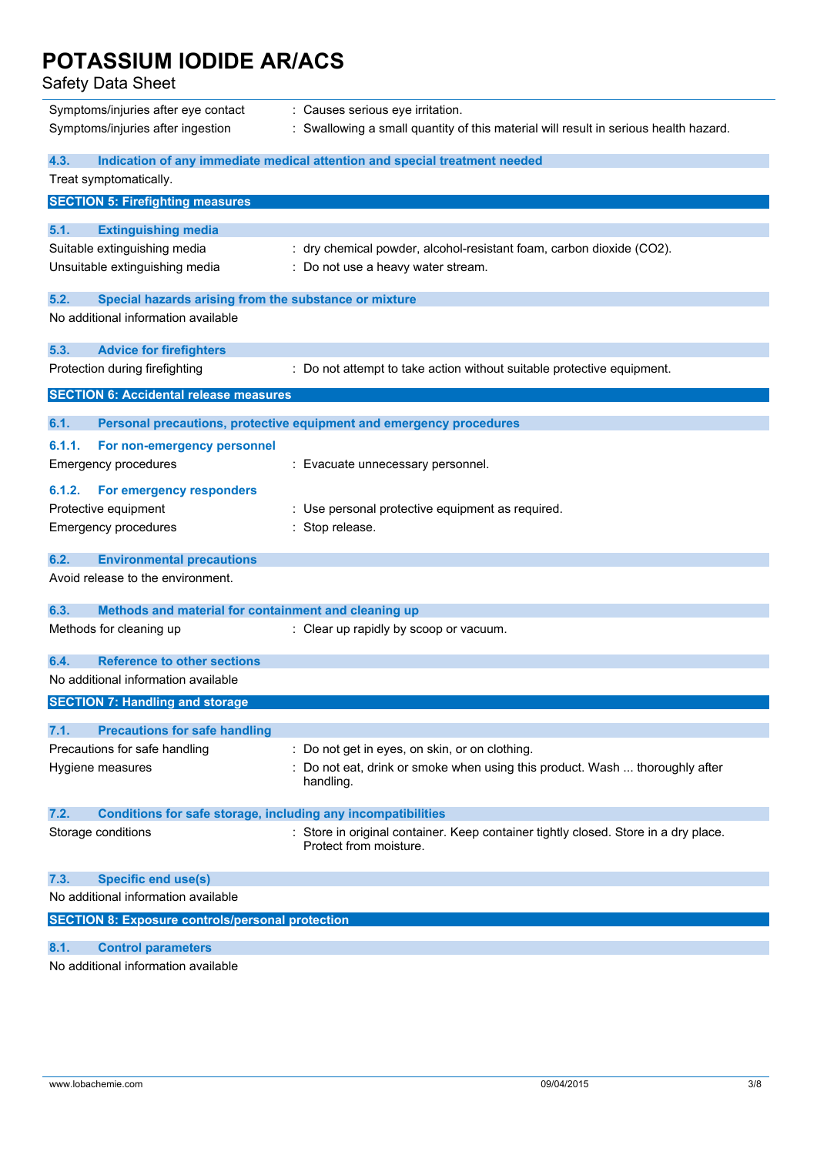Safety Data Sheet

| Symptoms/injuries after eye contact                                         | : Causes serious eye irritation.                                                                              |
|-----------------------------------------------------------------------------|---------------------------------------------------------------------------------------------------------------|
| Symptoms/injuries after ingestion                                           | : Swallowing a small quantity of this material will result in serious health hazard.                          |
| 4.3.                                                                        | Indication of any immediate medical attention and special treatment needed                                    |
| Treat symptomatically.                                                      |                                                                                                               |
| <b>SECTION 5: Firefighting measures</b>                                     |                                                                                                               |
| <b>Extinguishing media</b><br>5.1.                                          |                                                                                                               |
| Suitable extinguishing media                                                | : dry chemical powder, alcohol-resistant foam, carbon dioxide (CO2).                                          |
| Unsuitable extinguishing media                                              | : Do not use a heavy water stream.                                                                            |
| Special hazards arising from the substance or mixture<br>5.2.               |                                                                                                               |
| No additional information available                                         |                                                                                                               |
| 5.3.<br><b>Advice for firefighters</b>                                      |                                                                                                               |
| Protection during firefighting                                              | : Do not attempt to take action without suitable protective equipment.                                        |
| <b>SECTION 6: Accidental release measures</b>                               |                                                                                                               |
| 6.1.                                                                        | Personal precautions, protective equipment and emergency procedures                                           |
| 6.1.1.<br>For non-emergency personnel                                       |                                                                                                               |
| <b>Emergency procedures</b>                                                 | : Evacuate unnecessary personnel.                                                                             |
| 6.1.2.<br>For emergency responders                                          |                                                                                                               |
| Protective equipment                                                        | : Use personal protective equipment as required.                                                              |
| <b>Emergency procedures</b>                                                 | : Stop release.                                                                                               |
| 6.2.<br><b>Environmental precautions</b>                                    |                                                                                                               |
| Avoid release to the environment.                                           |                                                                                                               |
| 6.3.<br>Methods and material for containment and cleaning up                |                                                                                                               |
| Methods for cleaning up                                                     | : Clear up rapidly by scoop or vacuum.                                                                        |
| <b>Reference to other sections</b><br>6.4.                                  |                                                                                                               |
| No additional information available                                         |                                                                                                               |
| <b>SECTION 7: Handling and storage</b>                                      |                                                                                                               |
| <b>Precautions for safe handling</b><br>7.1.                                |                                                                                                               |
| Precautions for safe handling                                               | : Do not get in eyes, on skin, or on clothing.                                                                |
| Hygiene measures                                                            | : Do not eat, drink or smoke when using this product. Wash  thoroughly after                                  |
|                                                                             | handling.                                                                                                     |
| <b>Conditions for safe storage, including any incompatibilities</b><br>7.2. |                                                                                                               |
| Storage conditions                                                          | : Store in original container. Keep container tightly closed. Store in a dry place.<br>Protect from moisture. |
| <b>Specific end use(s)</b><br>7.3.                                          |                                                                                                               |
| No additional information available                                         |                                                                                                               |
| <b>SECTION 8: Exposure controls/personal protection</b>                     |                                                                                                               |
| <b>Control parameters</b><br>8.1.                                           |                                                                                                               |
| No additional information available                                         |                                                                                                               |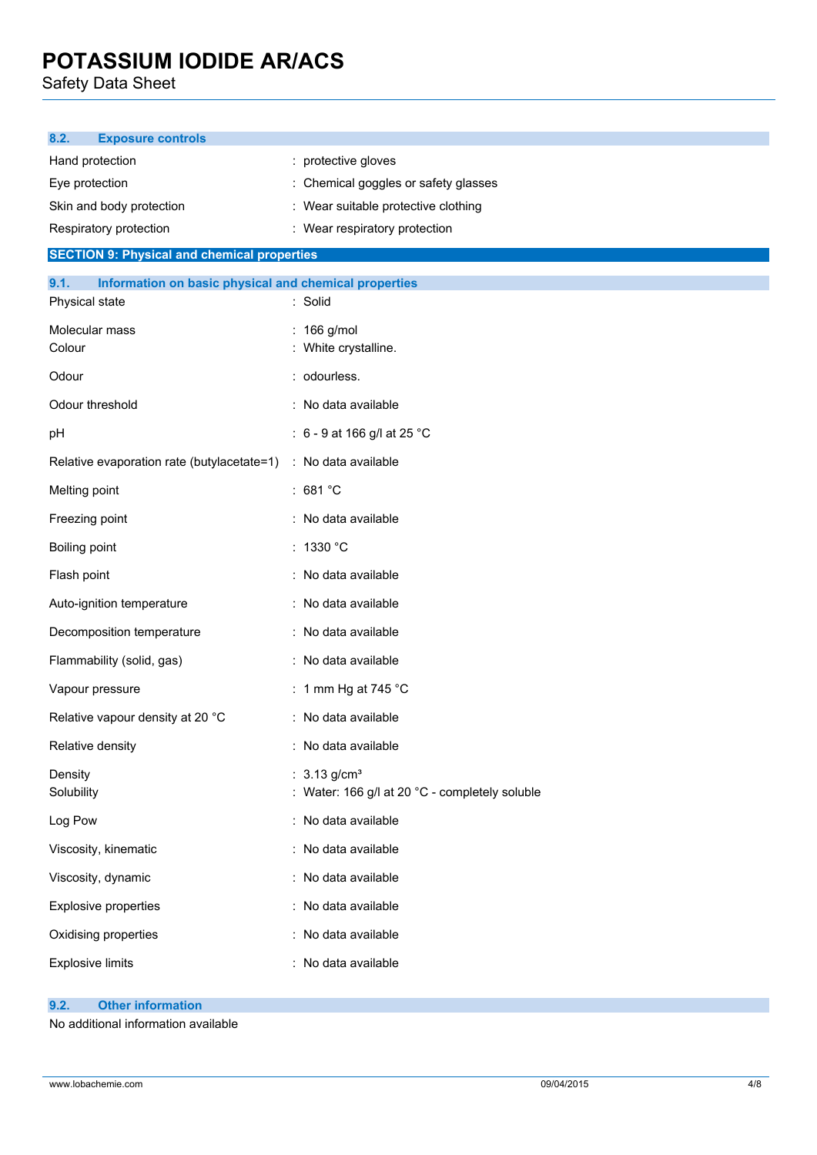Safety Data Sheet

| 8.2.<br><b>Exposure controls</b>                              |                                                |
|---------------------------------------------------------------|------------------------------------------------|
| Hand protection                                               | protective gloves                              |
| Eye protection                                                | : Chemical goggles or safety glasses           |
| Skin and body protection                                      | Wear suitable protective clothing              |
| Respiratory protection                                        | : Wear respiratory protection                  |
| <b>SECTION 9: Physical and chemical properties</b>            |                                                |
| 9.1.<br>Information on basic physical and chemical properties |                                                |
| Physical state                                                | Solid                                          |
| Molecular mass                                                | 166 g/mol                                      |
| Colour                                                        | : White crystalline.                           |
| Odour                                                         | : odourless.                                   |
| Odour threshold                                               | : No data available                            |
| pH                                                            | : $6 - 9$ at 166 g/l at 25 °C                  |
| Relative evaporation rate (butylacetate=1)                    | : No data available                            |
| Melting point                                                 | : 681 $^{\circ}$ C                             |
| Freezing point                                                | : No data available                            |
| Boiling point                                                 | : 1330 °C                                      |
| Flash point                                                   | : No data available                            |
| Auto-ignition temperature                                     | : No data available                            |
| Decomposition temperature                                     | : No data available                            |
| Flammability (solid, gas)                                     | : No data available                            |
| Vapour pressure                                               | : 1 mm Hg at 745 $^{\circ}$ C                  |
| Relative vapour density at 20 °C                              | : No data available                            |
| Relative density                                              | : No data available                            |
| Density                                                       | : $3.13$ g/cm <sup>3</sup>                     |
| Solubility                                                    | : Water: 166 g/l at 20 °C - completely soluble |
| Log Pow                                                       | : No data available                            |
| Viscosity, kinematic                                          | : No data available                            |
| Viscosity, dynamic                                            | : No data available                            |
| Explosive properties                                          | : No data available                            |
| Oxidising properties                                          | No data available                              |
| <b>Explosive limits</b>                                       | No data available                              |

#### **9.2. Other information**

No additional information available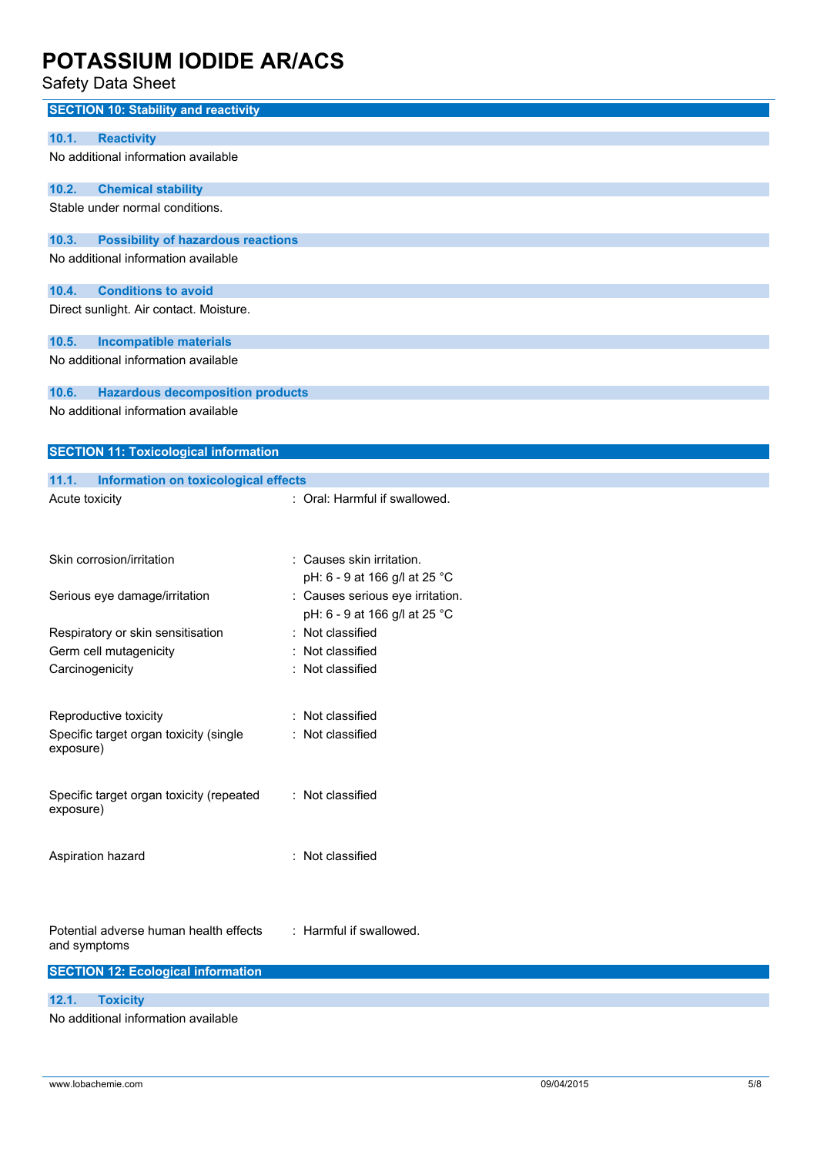Safety Data Sheet

| ouiviy Duiu Onooi                                     |                                  |
|-------------------------------------------------------|----------------------------------|
| <b>SECTION 10: Stability and reactivity</b>           |                                  |
| 10.1.<br><b>Reactivity</b>                            |                                  |
| No additional information available                   |                                  |
|                                                       |                                  |
| 10.2.<br><b>Chemical stability</b>                    |                                  |
| Stable under normal conditions.                       |                                  |
|                                                       |                                  |
| 10.3.<br><b>Possibility of hazardous reactions</b>    |                                  |
| No additional information available                   |                                  |
|                                                       |                                  |
| 10.4.<br><b>Conditions to avoid</b>                   |                                  |
| Direct sunlight. Air contact. Moisture.               |                                  |
|                                                       |                                  |
| 10.5.<br><b>Incompatible materials</b>                |                                  |
| No additional information available                   |                                  |
| 10.6.<br><b>Hazardous decomposition products</b>      |                                  |
| No additional information available                   |                                  |
|                                                       |                                  |
|                                                       |                                  |
| <b>SECTION 11: Toxicological information</b>          |                                  |
| 11.1.<br>Information on toxicological effects         |                                  |
| Acute toxicity                                        | : Oral: Harmful if swallowed.    |
|                                                       |                                  |
|                                                       |                                  |
| Skin corrosion/irritation                             | Causes skin irritation.          |
|                                                       |                                  |
|                                                       | pH: 6 - 9 at 166 g/l at 25 °C    |
| Serious eye damage/irritation                         | : Causes serious eye irritation. |
|                                                       | pH: 6 - 9 at 166 g/l at 25 °C    |
| Respiratory or skin sensitisation                     | Not classified                   |
| Germ cell mutagenicity                                | Not classified                   |
| Carcinogenicity                                       | Not classified                   |
|                                                       |                                  |
| Reproductive toxicity                                 | : Not classified                 |
| Specific target organ toxicity (single                | : Not classified                 |
| exposure)                                             |                                  |
|                                                       |                                  |
|                                                       | : Not classified                 |
| Specific target organ toxicity (repeated<br>exposure) |                                  |
|                                                       |                                  |
|                                                       |                                  |
| Aspiration hazard                                     | : Not classified                 |
|                                                       |                                  |
|                                                       |                                  |
|                                                       |                                  |
| Potential adverse human health effects                | : Harmful if swallowed.          |
| and symptoms                                          |                                  |
| <b>SECTION 12: Ecological information</b>             |                                  |
|                                                       |                                  |
| 12.1.<br><b>Toxicity</b>                              |                                  |
| No additional information available                   |                                  |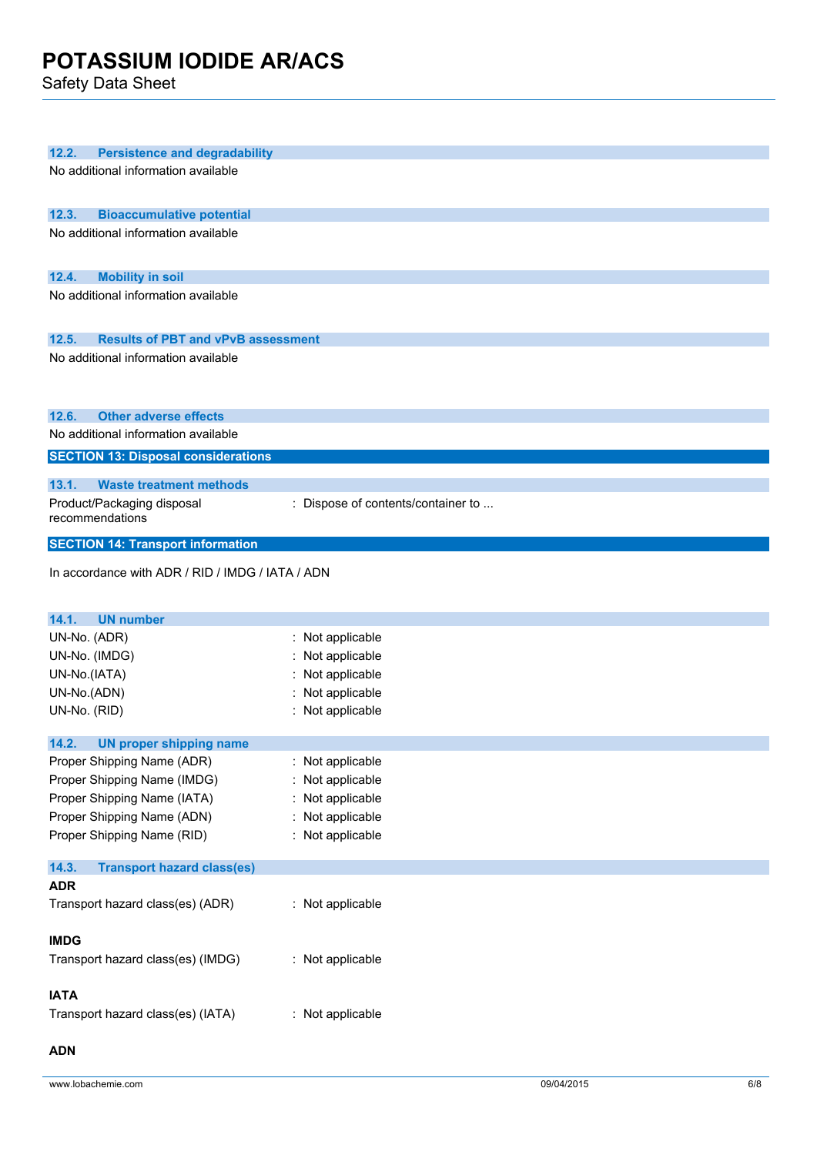Safety Data Sheet

| 12.2.<br><b>Persistence and degradability</b>      |                                    |
|----------------------------------------------------|------------------------------------|
|                                                    |                                    |
| No additional information available                |                                    |
|                                                    |                                    |
| 12.3.<br><b>Bioaccumulative potential</b>          |                                    |
| No additional information available                |                                    |
|                                                    |                                    |
|                                                    |                                    |
| 12.4.<br><b>Mobility in soil</b>                   |                                    |
| No additional information available                |                                    |
|                                                    |                                    |
| 12.5.<br><b>Results of PBT and vPvB assessment</b> |                                    |
| No additional information available                |                                    |
|                                                    |                                    |
|                                                    |                                    |
|                                                    |                                    |
| 12.6.<br><b>Other adverse effects</b>              |                                    |
| No additional information available                |                                    |
| <b>SECTION 13: Disposal considerations</b>         |                                    |
| 13.1.<br><b>Waste treatment methods</b>            |                                    |
|                                                    |                                    |
| Product/Packaging disposal<br>recommendations      | : Dispose of contents/container to |
|                                                    |                                    |
| <b>SECTION 14: Transport information</b>           |                                    |
| In accordance with ADR / RID / IMDG / IATA / ADN   |                                    |
|                                                    |                                    |
|                                                    |                                    |
| <b>UN number</b><br>14.1.                          |                                    |
| UN-No. (ADR)                                       | : Not applicable                   |
| UN-No. (IMDG)                                      | Not applicable                     |
| UN-No.(IATA)                                       | Not applicable                     |
| UN-No.(ADN)                                        | : Not applicable                   |
| UN-No. (RID)                                       | : Not applicable                   |
|                                                    |                                    |
| 14.2.<br><b>UN proper shipping name</b>            |                                    |
| Proper Shipping Name (ADR)                         | : Not applicable                   |
| Proper Shipping Name (IMDG)                        | : Not applicable                   |
| Proper Shipping Name (IATA)                        | : Not applicable                   |
| Proper Shipping Name (ADN)                         | : Not applicable                   |
| Proper Shipping Name (RID)                         | : Not applicable                   |
|                                                    |                                    |
| <b>Transport hazard class(es)</b><br>14.3.         |                                    |
| <b>ADR</b>                                         |                                    |
| Transport hazard class(es) (ADR)                   | : Not applicable                   |
|                                                    |                                    |
| <b>IMDG</b>                                        |                                    |
|                                                    |                                    |
| Transport hazard class(es) (IMDG)                  | : Not applicable                   |
|                                                    |                                    |
| <b>IATA</b>                                        |                                    |
| Transport hazard class(es) (IATA)                  | : Not applicable                   |
|                                                    |                                    |
| <b>ADN</b>                                         |                                    |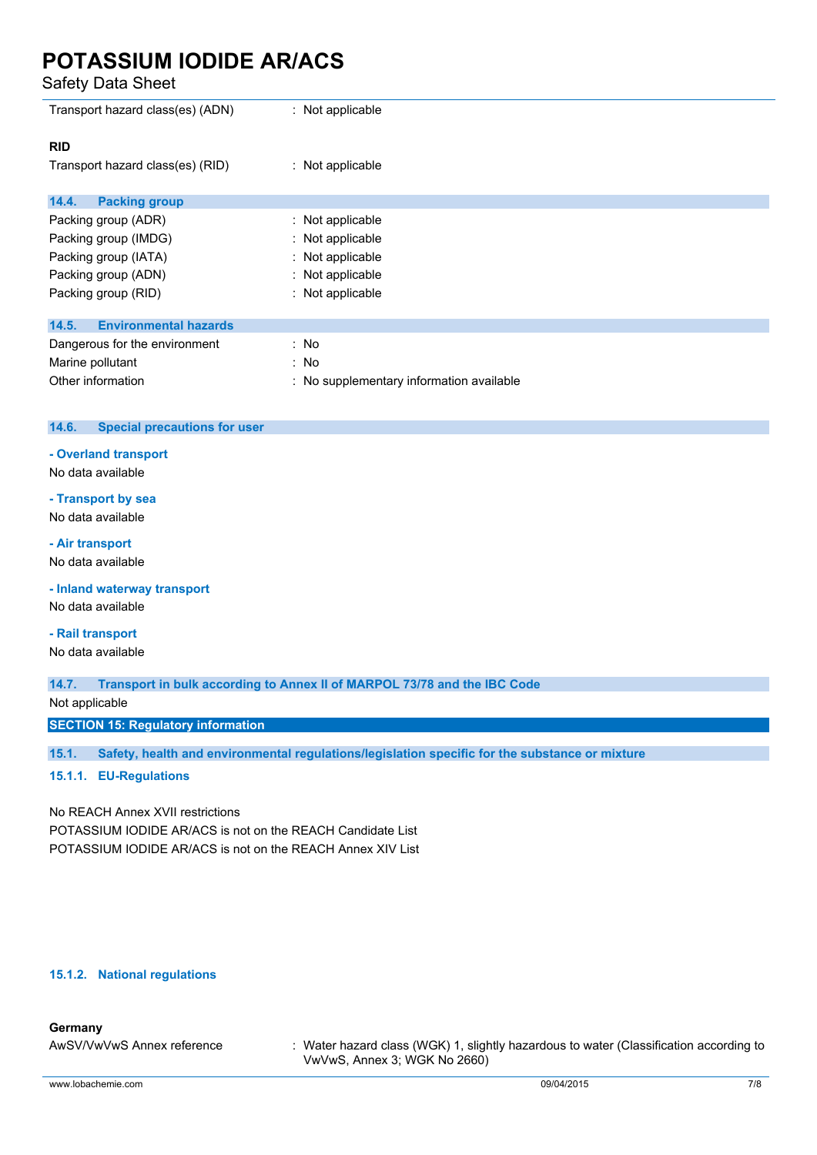Safety Data Sheet

| Transport hazard class(es) (ADN)      | : Not applicable                         |
|---------------------------------------|------------------------------------------|
| <b>RID</b>                            |                                          |
| Transport hazard class(es) (RID)      | : Not applicable                         |
|                                       |                                          |
| <b>Packing group</b><br>14.4.         |                                          |
| Packing group (ADR)                   | : Not applicable                         |
| Packing group (IMDG)                  | : Not applicable                         |
| Packing group (IATA)                  | : Not applicable                         |
| Packing group (ADN)                   | : Not applicable                         |
| Packing group (RID)                   | : Not applicable                         |
|                                       |                                          |
| <b>Environmental hazards</b><br>14.5. |                                          |
| Dangerous for the environment         | : No                                     |
| Marine pollutant                      | : No                                     |
| Other information                     | : No supplementary information available |

#### **14.6. Special precautions for user**

#### **- Overland transport**

No data available

### **- Transport by sea**

No data available

#### **- Air transport**

No data available

**- Inland waterway transport**

No data available

#### **- Rail transport**

No data available

**14.7. Transport in bulk according to Annex II of MARPOL 73/78 and the IBC Code**

Not applicable

**SECTION 15: Regulatory information**

**15.1. Safety, health and environmental regulations/legislation specific for the substance or mixture**

#### **15.1.1. EU-Regulations**

No REACH Annex XVII restrictions

POTASSIUM IODIDE AR/ACS is not on the REACH Candidate List POTASSIUM IODIDE AR/ACS is not on the REACH Annex XIV List

#### **15.1.2. National regulations**

#### **Germany**

AwSV/VwVwS Annex reference : Water hazard class (WGK) 1, slightly hazardous to water (Classification according to VwVwS, Annex 3; WGK No 2660)